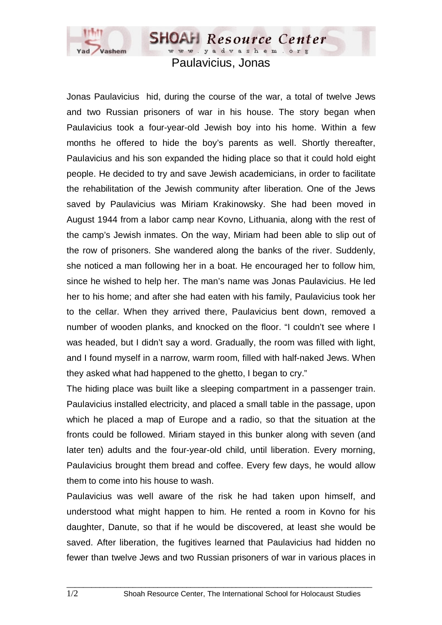

www.yadvashem.org Paulavicius, Jonas

**SHOAH** Resource Center

Jonas Paulavicius hid, during the course of the war, a total of twelve Jews and two Russian prisoners of war in his house. The story began when Paulavicius took a four-year-old Jewish boy into his home. Within a few months he offered to hide the boy's parents as well. Shortly thereafter, Paulavicius and his son expanded the hiding place so that it could hold eight people. He decided to try and save Jewish academicians, in order to facilitate the rehabilitation of the Jewish community after liberation. One of the Jews saved by Paulavicius was Miriam Krakinowsky. She had been moved in August 1944 from a labor camp near Kovno, Lithuania, along with the rest of the camp's Jewish inmates. On the way, Miriam had been able to slip out of the row of prisoners. She wandered along the banks of the river. Suddenly, she noticed a man following her in a boat. He encouraged her to follow him, since he wished to help her. The man's name was Jonas Paulavicius. He led her to his home; and after she had eaten with his family, Paulavicius took her to the cellar. When they arrived there, Paulavicius bent down, removed a number of wooden planks, and knocked on the floor. "I couldn't see where I was headed, but I didn't say a word. Gradually, the room was filled with light, and I found myself in a narrow, warm room, filled with half-naked Jews. When they asked what had happened to the ghetto, I began to cry."

The hiding place was built like a sleeping compartment in a passenger train. Paulavicius installed electricity, and placed a small table in the passage, upon which he placed a map of Europe and a radio, so that the situation at the fronts could be followed. Miriam stayed in this bunker along with seven (and later ten) adults and the four-year-old child, until liberation. Every morning, Paulavicius brought them bread and coffee. Every few days, he would allow them to come into his house to wash.

Paulavicius was well aware of the risk he had taken upon himself, and understood what might happen to him. He rented a room in Kovno for his daughter, Danute, so that if he would be discovered, at least she would be saved. After liberation, the fugitives learned that Paulavicius had hidden no fewer than twelve Jews and two Russian prisoners of war in various places in

 $\_$  ,  $\_$  ,  $\_$  ,  $\_$  ,  $\_$  ,  $\_$  ,  $\_$  ,  $\_$  ,  $\_$  ,  $\_$  ,  $\_$  ,  $\_$  ,  $\_$  ,  $\_$  ,  $\_$  ,  $\_$  ,  $\_$  ,  $\_$  ,  $\_$